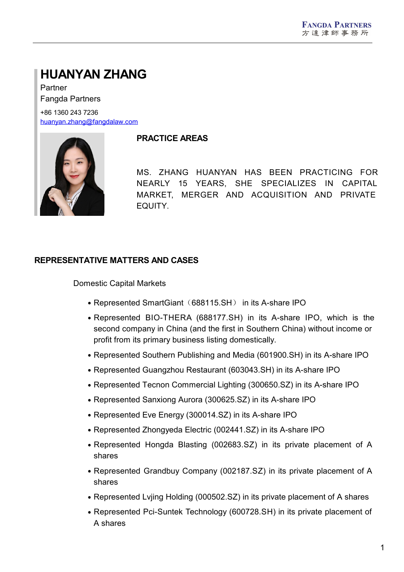# **HUANYAN ZHANG**

Partner Fangda Partners +86 1360 243 7236

[huanyan.zhang@fangdalaw.com](mailto:huanyan.zhang@fangdalaw.com)



## **PRACTICE AREAS**

MS. ZHANG HUANYAN HAS BEEN PRACTICING FOR NEARLY 15 YEARS, SHE SPECIALIZES IN CAPITAL MARKET, MERGER AND ACQUISITION AND PRIVATE EQUITY.

# **REPRESENTATIVE MATTERS AND CASES**

Domestic Capital Markets

- Represented SmartGiant (688115.SH) in its A-share IPO
- Represented BIO-THERA (688177.SH) in its A-share IPO, which is the second company in China (and the first in Southern China) without income or profit from its primary business listing domestically.
- Represented Southern Publishing and Media (601900.SH) in its A-share IPO
- Represented Guangzhou Restaurant (603043.SH) in its A-share IPO
- Represented Tecnon Commercial Lighting (300650.SZ) in its A-share IPO
- Represented Sanxiong Aurora (300625.SZ) in its A-share IPO
- Represented Eve Energy (300014.SZ) in its A-share IPO
- Represented Zhongyeda Electric (002441.SZ) in its A-share IPO
- Represented Hongda Blasting (002683.SZ) in its private placement of A shares
- Represented Grandbuy Company (002187.SZ) in its private placement of A shares
- Represented Lvjing Holding (000502.SZ) in its private placement of A shares
- Represented Pci-Suntek Technology (600728.SH) in its private placement of A shares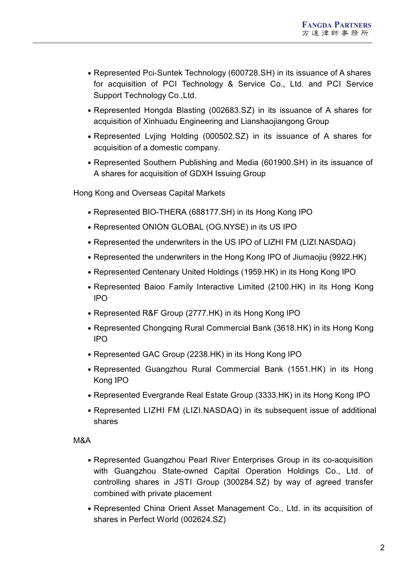- Represented Pci-Suntek Technology (600728.SH) in its issuance of A shares for acquisition of PCI Technology & Service Co., Ltd. and PCI Service Support Technology Co.,Ltd.
- Represented Hongda Blasting (002683.SZ) in its issuance of A shares for acquisition of Xinhuadu Engineering and Lianshaojiangong Group
- Represented Lvjing Holding (000502.SZ) in its issuance of A shares for acquisition of a domestic company.
- Represented Southern Publishing and Media (601900.SH) in its issuance of A shares for acquisition of GDXH Issuing Group

Hong Kong and Overseas Capital Markets

- Represented BIO-THERA (688177.SH) in its Hong Kong IPO
- Represented ONION GLOBAL (OG.NYSE) in its US IPO
- Represented the underwriters in the US IPO of LIZHI FM (LIZI.NASDAQ)
- Represented the underwriters in the Hong Kong IPO of Jiumaojiu (9922.HK)
- Represented Centenary United Holdings (1959.HK) in its Hong Kong IPO
- Represented Baioo Family Interactive Limited (2100.HK) in its Hong Kong IPO
- Represented R&F Group (2777.HK) in its Hong Kong IPO
- Represented Chongqing Rural Commercial Bank (3618.HK) in its Hong Kong IPO
- Represented GAC Group (2238.HK) in its Hong Kong IPO
- Represented Guangzhou Rural Commercial Bank (1551.HK) in its Hong Kong IPO
- Represented Evergrande Real Estate Group (3333.HK) in its Hong Kong IPO
- Represented LIZHI FM (LIZI.NASDAQ) in its subsequent issue of additional shares

## M&A

- Represented Guangzhou Pearl River Enterprises Group in its co-acquisition with Guangzhou State-owned Capital Operation Holdings Co., Ltd. of controlling shares in JSTI Group (300284.SZ) by way of agreed transfer combined with private placement
- Represented China Orient Asset Management Co., Ltd. in its acquisition of shares in Perfect World (002624.SZ)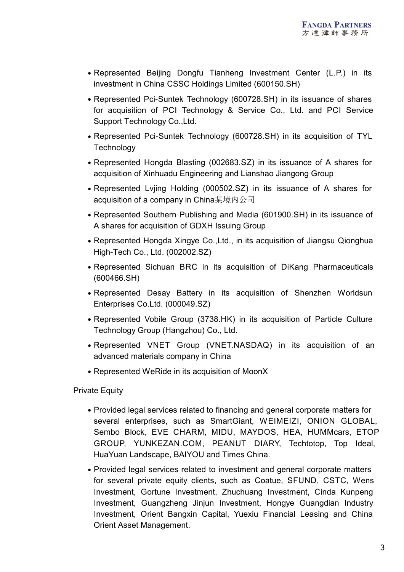- Represented Beijing Dongfu Tianheng Investment Center (L.P.) in its investment in China CSSC Holdings Limited (600150.SH)
- Represented Pci-Suntek Technology (600728.SH) in its issuance of shares for acquisition of PCI Technology & Service Co., Ltd. and PCI Service Support Technology Co.,Ltd.
- Represented Pci-Suntek Technology (600728.SH) in its acquisition of TYL **Technology**
- Represented Hongda Blasting (002683.SZ) in its issuance of A shares for acquisition of Xinhuadu Engineering and Lianshao Jiangong Group
- Represented Lvjing Holding (000502.SZ) in its issuance of A shares for acquisition of a company in China某境内公司
- Represented Southern Publishing and Media (601900.SH) in its issuance of A shares for acquisition of GDXH Issuing Group
- Represented Hongda Xingye Co., Ltd., in its acquisition of Jiangsu Qionghua High-Tech Co., Ltd. (002002.SZ)
- Represented Sichuan BRC in its acquisition of DiKang Pharmaceuticals (600466.SH)
- Represented Desay Battery in its acquisition of Shenzhen Worldsun Enterprises Co.Ltd. (000049.SZ)
- Represented Vobile Group (3738.HK) in its acquisition of Particle Culture Technology Group (Hangzhou) Co., Ltd.
- Represented VNET Group (VNET.NASDAQ) in its acquisition of an advanced materials company in China
- Represented WeRide in its acquisition of MoonX

**Private Equity** 

- Provided legal services related to financing and general corporate matters for several enterprises, such as SmartGiant, WEIMEIZI, ONION GLOBAL, Sembo Block, EVE CHARM, MIDU, MAYDOS, HEA, HUMMcars, ETOP GROUP, YUNKEZAN.COM, PEANUT DIARY, Techtotop, Top Ideal, HuaYuan Landscape, BAIYOU and Times China.
- Provided legal services related to investment and general corporate matters for several private equity clients, such as Coatue, SFUND, CSTC, Wens Investment, Gortune Investment, Zhuchuang Investment, Cinda Kunpeng Investment, Guangzheng Jinjun Investment, Hongye Guangdian Industry Investment, Orient Bangxin Capital, Yuexiu Financial Leasing and China Orient Asset Management.